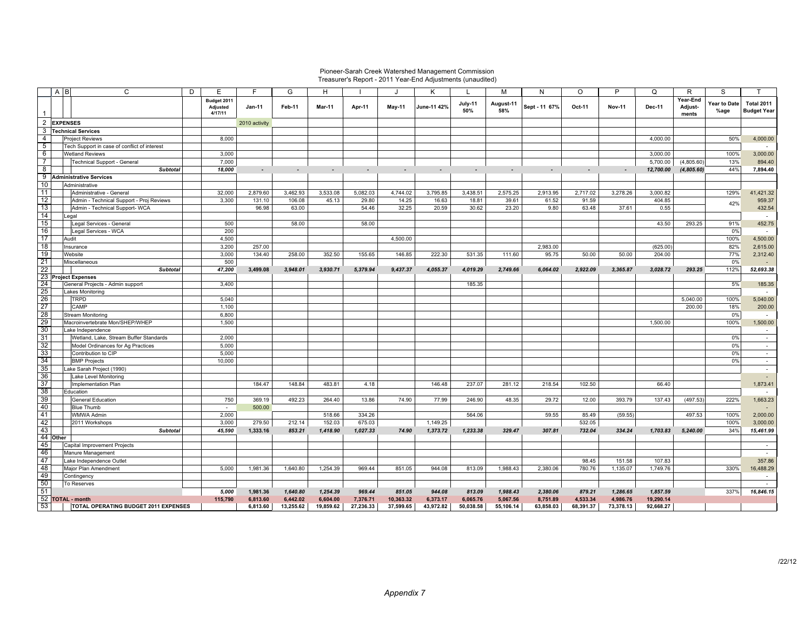## Pioneer-Sarah Creek Watershed Management Commission Treasurer's Report - 2011 Year-End Adjustments (unaudited)

|                | C<br>A B                                     | D<br>E                             | F             | G         | H         |           |           | K           |                | M                | N             | O         | P             | $\Omega$      | R                            | S                    |                                  |
|----------------|----------------------------------------------|------------------------------------|---------------|-----------|-----------|-----------|-----------|-------------|----------------|------------------|---------------|-----------|---------------|---------------|------------------------------|----------------------|----------------------------------|
|                |                                              | Budget 2011<br>Adjusted<br>4/17/11 | $Jan-11$      | Feb-11    | Mar-11    | Apr-11    | May-11    | June-11 42% | July-11<br>50% | August-11<br>58% | Sept - 11 67% | Oct-11    | <b>Nov-11</b> | <b>Dec-11</b> | Year-End<br>Adjust-<br>ments | Year to Date<br>%age | Total 2011<br><b>Budget Year</b> |
| $\overline{2}$ | <b>EXPENSES</b>                              |                                    | 2010 activity |           |           |           |           |             |                |                  |               |           |               |               |                              |                      |                                  |
| 3              | <b>Technical Services</b>                    |                                    |               |           |           |           |           |             |                |                  |               |           |               |               |                              |                      |                                  |
| 4              | <b>Project Reviews</b>                       | 8,000                              |               |           |           |           |           |             |                |                  |               |           |               | 4,000.00      |                              | 50%                  | 4,000.00                         |
| 5              | Tech Support in case of conflict of interest |                                    |               |           |           |           |           |             |                |                  |               |           |               |               |                              |                      |                                  |
| 6              | <b>Wetland Reviews</b>                       | 3,000                              |               |           |           |           |           |             |                |                  |               |           |               | 3,000.00      |                              | 100%                 | 3,000.00                         |
| $\overline{7}$ | Technical Support - General                  | 7,000                              |               |           |           |           |           |             |                |                  |               |           |               | 5,700.00      | (4,805.60)                   | 13%                  | 894.40                           |
| $\overline{8}$ | <b>Subtotal</b>                              | 18,000                             |               |           |           |           |           |             |                |                  |               |           |               | 12,700.00     |                              | 44%                  | 7,894.40                         |
|                | 9 Administrative Services                    |                                    |               |           |           |           |           |             |                |                  |               |           |               |               | (4,805.60)                   |                      |                                  |
| 10             | Administrative                               |                                    |               |           |           |           |           |             |                |                  |               |           |               |               |                              |                      |                                  |
| 11             | Administrative - General                     | 32,000                             | 2,879.60      | 3,462.93  | 3,533.08  | 5,082.03  | 4,744.02  | 3,795.85    | 3,438.51       | 2,575.25         | 2,913.95      | 2,717.02  | 3,278.26      | 3,000.82      |                              | 129%                 | 41,421.32                        |
| 12             | Admin - Technical Support - Proj Reviews     | 3,300                              | 131.10        | 106.08    | 45.13     | 29.80     | 14.25     | 16.63       | 18.81          | 39.61            | 61.52         | 91.59     |               | 404.85        |                              |                      | 959.37                           |
| 13             | Admin - Technical Support- WCA               |                                    | 96.98         | 63.00     |           | 54.46     | 32.25     | 20.59       | 30.62          | 23.20            | 9.80          | 63.48     | 37.61         | 0.55          |                              | 42%                  | 432.54                           |
| 14             | Legal                                        |                                    |               |           |           |           |           |             |                |                  |               |           |               |               |                              |                      | $\sim$                           |
| 15             | Legal Services - General                     | 500                                |               | 58.00     |           | 58.00     |           |             |                |                  |               |           |               | 43.50         | 293.25                       | 91%                  | 452.75                           |
| 16             | Legal Services - WCA                         | 200                                |               |           |           |           |           |             |                |                  |               |           |               |               |                              | 0%                   | $\sim$                           |
| 17             | Audit                                        | 4,500                              |               |           |           |           | 4,500.00  |             |                |                  |               |           |               |               |                              | 100%                 | 4,500.00                         |
| 18             | Insurance                                    | 3.200                              | 257.00        |           |           |           |           |             |                |                  | 2.983.00      |           |               | (625.00)      |                              | 82%                  | 2,615.00                         |
| 19             | Website                                      | 3,000                              | 134.40        | 258.00    | 352.50    | 155.65    | 146.85    | 222.30      | 531.35         | 111.60           | 95.75         | 50.00     | 50.00         | 204.00        |                              | 77%                  | 2,312.40                         |
| 21             | Miscellaneous                                | 500                                |               |           |           |           |           |             |                |                  |               |           |               |               |                              | 0%                   |                                  |
| 22             | <b>Subtotal</b>                              | 47,200                             | 3,499.08      | 3,948.01  | 3,930.71  | 5,379.94  | 9,437.37  | 4,055.37    | 4,019.29       | 2,749.66         | 6,064.02      | 2,922.09  | 3,365.87      | 3,028.72      | 293.25                       | 112%                 | 52,693.38                        |
|                | 23 Project Expenses                          |                                    |               |           |           |           |           |             |                |                  |               |           |               |               |                              |                      |                                  |
| 24             | General Projects - Admin support             | 3,400                              |               |           |           |           |           |             | 185.35         |                  |               |           |               |               |                              | 5%                   | 185.35                           |
| 25             | <b>Lakes Monitoring</b>                      |                                    |               |           |           |           |           |             |                |                  |               |           |               |               |                              |                      | $\sim$                           |
| 26             | <b>TRPD</b>                                  | 5,040                              |               |           |           |           |           |             |                |                  |               |           |               |               | 5,040.00                     | 100%                 | 5,040.00                         |
| 27             | CAMP                                         | 1.100                              |               |           |           |           |           |             |                |                  |               |           |               |               | 200.00                       | 18%                  | 200.00                           |
| 28             | <b>Stream Monitoring</b>                     | 6,800                              |               |           |           |           |           |             |                |                  |               |           |               |               |                              | 0%                   | $\sim$                           |
| 29             | Macroinvertebrate Mon/SHEP/WHEP              | 1,500                              |               |           |           |           |           |             |                |                  |               |           |               | 1,500.00      |                              | 100%                 | 1,500.00                         |
| 30             | Lake Independence                            |                                    |               |           |           |           |           |             |                |                  |               |           |               |               |                              |                      | $\sim$                           |
| 31             | Wetland, Lake, Stream Buffer Standards       | 2,000                              |               |           |           |           |           |             |                |                  |               |           |               |               |                              | 0%                   | $\sim$                           |
| 32             | Model Ordinances for Ag Practices            | 5,000                              |               |           |           |           |           |             |                |                  |               |           |               |               |                              | 0%                   | $\sim$                           |
| 33             | Contribution to CIP                          | 5,000                              |               |           |           |           |           |             |                |                  |               |           |               |               |                              | 0%                   | $\sim$                           |
| 34             | <b>BMP Projects</b>                          | 10,000                             |               |           |           |           |           |             |                |                  |               |           |               |               |                              | 0%                   | $\sim$                           |
| 35             | Lake Sarah Project (1990)                    |                                    |               |           |           |           |           |             |                |                  |               |           |               |               |                              |                      | $\sim$                           |
| 36             | Lake Level Monitoring                        |                                    |               |           |           |           |           |             |                |                  |               |           |               |               |                              |                      |                                  |
| 37             | Implementation Plan                          |                                    | 184.47        | 148.84    | 483.81    | 4.18      |           | 146.48      | 237.07         | 281.12           | 218.54        | 102.50    |               | 66.40         |                              |                      | 1,873.41                         |
| 38             | Education                                    |                                    |               |           |           |           |           |             |                |                  |               |           |               |               |                              |                      | $\sim$                           |
| 39             | <b>General Education</b>                     | 750                                | 369.19        | 492.23    | 264.40    | 13.86     | 74.90     | 77.99       | 246.90         | 48.35            | 29.72         | 12.00     | 393.79        | 137.43        | (497.53)                     | 222%                 | 1,663.23                         |
| 40             | <b>Blue Thumb</b>                            | $\sim$                             | 500.00        |           |           |           |           |             |                |                  |               |           |               |               |                              |                      |                                  |
| 41             | <b>WMWA Admin</b>                            | 2,000                              |               |           | 518.66    | 334.26    |           |             | 564.06         |                  | 59.55         | 85.49     | (59.55)       |               | 497.53                       | 100%                 | 2,000.00                         |
| 42             | 2011 Workshops                               | 3,000                              | 279.50        | 212.14    | 152.03    | 675.03    |           | 1,149.25    |                |                  |               | 532.05    |               |               |                              | 100%                 | 3,000.00                         |
| 43             | <b>Subtotal</b>                              | 45.590                             | 1.333.16      | 853.21    | 1,418.90  | 1,027.33  | 74.90     | 1,373.72    | 1,233.38       | 329.47           | 307.81        | 732.04    | 334.24        | 1.703.83      | 5,240.00                     | 34%                  | 15.461.99                        |
|                | 44 Other                                     |                                    |               |           |           |           |           |             |                |                  |               |           |               |               |                              |                      |                                  |
| 45             | Capital Improvement Projects                 |                                    |               |           |           |           |           |             |                |                  |               |           |               |               |                              |                      | $\sim$                           |
| 46             | Manure Management                            |                                    |               |           |           |           |           |             |                |                  |               |           |               |               |                              |                      | $\sim$                           |
| 47             | Lake Independence Outlet                     |                                    |               |           |           |           |           |             |                |                  |               | 98.45     | 151.58        | 107.83        |                              |                      | 357.86                           |
| 48             | Major Plan Amendment                         | 5,000                              | 1,981.36      | 1,640.80  | 1,254.39  | 969.44    | 851.05    | 944.08      | 813.09         | 1,988.43         | 2,380.06      | 780.76    | 1,135.07      | 1,749.76      |                              | 330%                 | 16,488.29                        |
| 49             | Contingency                                  |                                    |               |           |           |           |           |             |                |                  |               |           |               |               |                              |                      | $\sim$                           |
| 50             | To Reserves                                  |                                    |               |           |           |           |           |             |                |                  |               |           |               |               |                              |                      | $\sim$                           |
| 51             |                                              | 5,000                              | 1,981.36      | 1,640.80  | 1,254.39  | 969.44    | 851.05    | 944.08      | 813.09         | 1,988.43         | 2,380.06      | 879.21    | 1,286.65      | 1,857.59      |                              | 337%                 | 16,846.15                        |
|                | 52 TOTAL - month                             | 115,790                            | 6,813.60      | 6,442.02  | 6.604.00  | 7,376.71  | 10,363.32 | 6.373.17    | 6,065.76       | 5,067.56         | 8,751.89      | 4.533.34  | 4,986.76      | 19,290.14     |                              |                      |                                  |
| -53            | <b>TOTAL OPERATING BUDGET 2011 EXPENSES</b>  |                                    | 6,813.60      | 13,255.62 | 19.859.62 | 27,236.33 | 37,599.65 | 43,972.82   | 50,038.58      | 55,106.14        | 63,858.03     | 68,391.37 | 73,378.13     | 92,668.27     |                              |                      |                                  |
|                |                                              |                                    |               |           |           |           |           |             |                |                  |               |           |               |               |                              |                      |                                  |